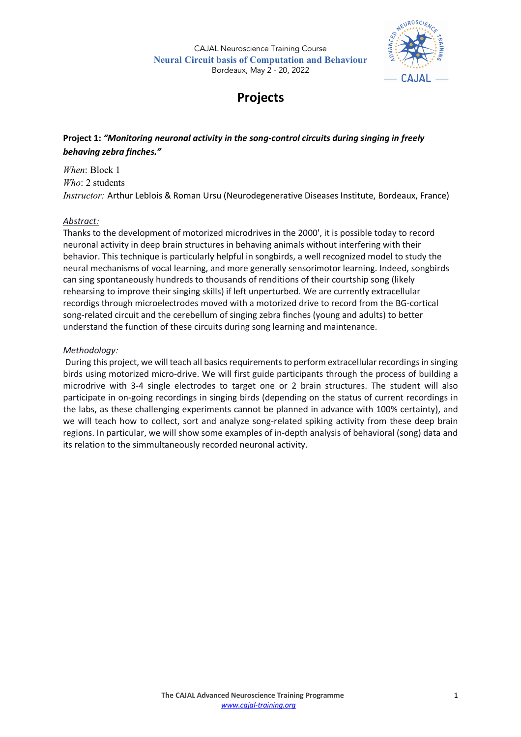

# **Projects**

**Project 1:** *"Monitoring neuronal activity in the song-control circuits during singing in freely behaving zebra finches."*

*When*: Block 1 *Who*: 2 students *Instructor:* Arthur Leblois & Roman Ursu (Neurodegenerative Diseases Institute, Bordeaux, France)

## *Abstract:*

Thanks to the development of motorized microdrives in the 2000', it is possible today to record neuronal activity in deep brain structures in behaving animals without interfering with their behavior. This technique is particularly helpful in songbirds, a well recognized model to study the neural mechanisms of vocal learning, and more generally sensorimotor learning. Indeed, songbirds can sing spontaneously hundreds to thousands of renditions of their courtship song (likely rehearsing to improve their singing skills) if left unperturbed. We are currently extracellular recordigs through microelectrodes moved with a motorized drive to record from the BG-cortical song-related circuit and the cerebellum of singing zebra finches (young and adults) to better understand the function of these circuits during song learning and maintenance.

## *Methodology:*

During this project, we will teach all basics requirements to perform extracellular recordings in singing birds using motorized micro-drive. We will first guide participants through the process of building a microdrive with 3-4 single electrodes to target one or 2 brain structures. The student will also participate in on-going recordings in singing birds (depending on the status of current recordings in the labs, as these challenging experiments cannot be planned in advance with 100% certainty), and we will teach how to collect, sort and analyze song-related spiking activity from these deep brain regions. In particular, we will show some examples of in-depth analysis of behavioral (song) data and its relation to the simmultaneously recorded neuronal activity.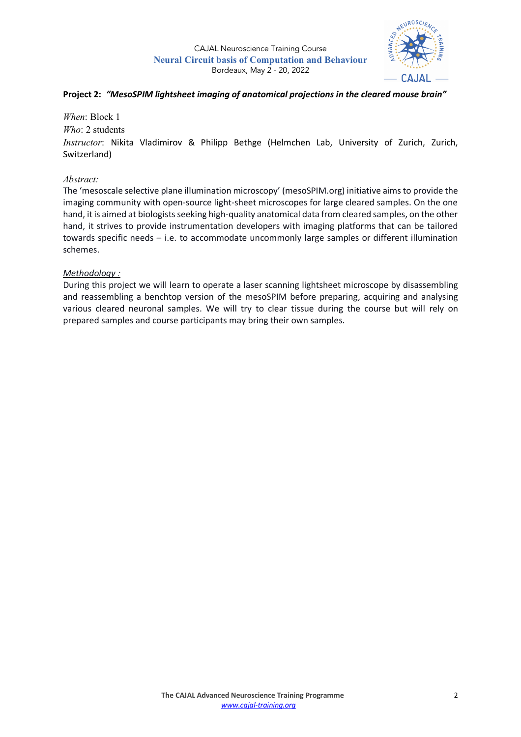

## **Project 2:** *"MesoSPIM lightsheet imaging of anatomical projections in the cleared mouse brain"*

*When*: Block 1

*Who*: 2 students

*Instructor*: Nikita Vladimirov & Philipp Bethge (Helmchen Lab, University of Zurich, Zurich, Switzerland)

## *Abstract:*

The 'mesoscale selective plane illumination microscopy' (mesoSPIM.org) initiative aims to provide the imaging community with open-source light-sheet microscopes for large cleared samples. On the one hand, it is aimed at biologists seeking high-quality anatomical data from cleared samples, on the other hand, it strives to provide instrumentation developers with imaging platforms that can be tailored towards specific needs – i.e. to accommodate uncommonly large samples or different illumination schemes.

## *Methodology :*

During this project we will learn to operate a laser scanning lightsheet microscope by disassembling and reassembling a benchtop version of the mesoSPIM before preparing, acquiring and analysing various cleared neuronal samples. We will try to clear tissue during the course but will rely on prepared samples and course participants may bring their own samples.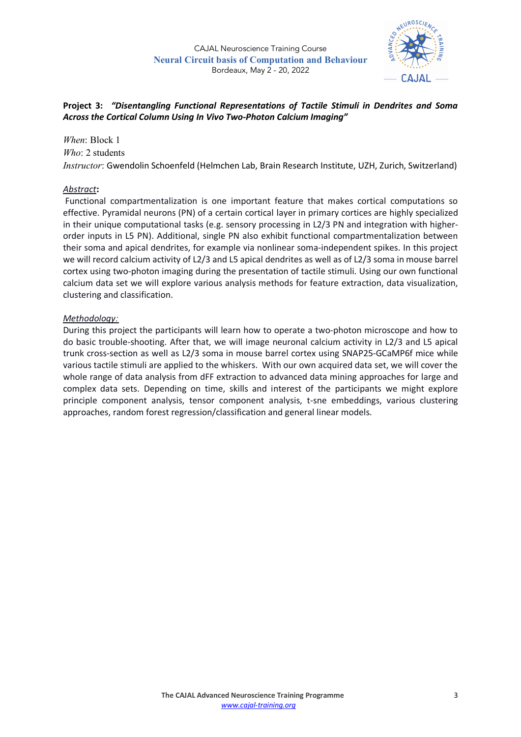

# **Project 3:** *"Disentangling Functional Representations of Tactile Stimuli in Dendrites and Soma Across the Cortical Column Using In Vivo Two-Photon Calcium Imaging"*

## *When*: Block 1 *Who*: 2 students

*Instructor*: Gwendolin Schoenfeld (Helmchen Lab, Brain Research Institute, UZH, Zurich, Switzerland)

# *Abstract***:**

Functional compartmentalization is one important feature that makes cortical computations so effective. Pyramidal neurons (PN) of a certain cortical layer in primary cortices are highly specialized in their unique computational tasks (e.g. sensory processing in L2/3 PN and integration with higherorder inputs in L5 PN). Additional, single PN also exhibit functional compartmentalization between their soma and apical dendrites, for example via nonlinear soma-independent spikes. In this project we will record calcium activity of L2/3 and L5 apical dendrites as well as of L2/3 soma in mouse barrel cortex using two-photon imaging during the presentation of tactile stimuli. Using our own functional calcium data set we will explore various analysis methods for feature extraction, data visualization, clustering and classification.

# *Methodology:*

During this project the participants will learn how to operate a two-photon microscope and how to do basic trouble-shooting. After that, we will image neuronal calcium activity in L2/3 and L5 apical trunk cross-section as well as L2/3 soma in mouse barrel cortex using SNAP25-GCaMP6f mice while various tactile stimuli are applied to the whiskers. With our own acquired data set, we will cover the whole range of data analysis from dFF extraction to advanced data mining approaches for large and complex data sets. Depending on time, skills and interest of the participants we might explore principle component analysis, tensor component analysis, t-sne embeddings, various clustering approaches, random forest regression/classification and general linear models.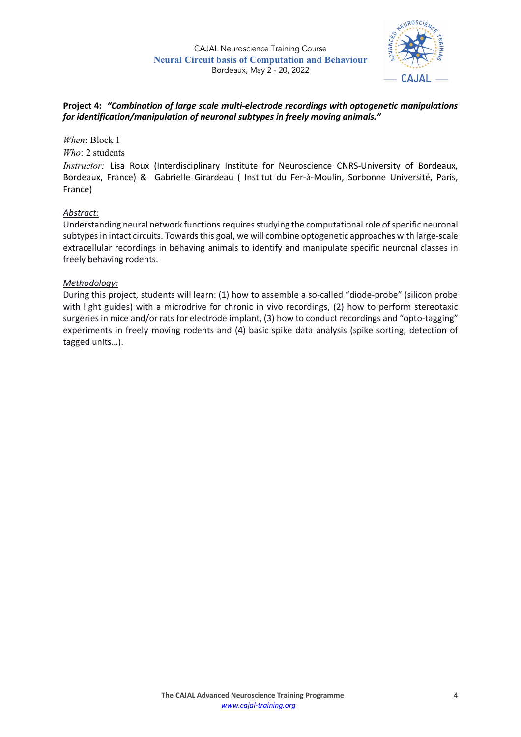

## **Project 4:** *"Combination of large scale multi-electrode recordings with optogenetic manipulations for identification/manipulation of neuronal subtypes in freely moving animals."*

## *When*: Block 1

*Who*: 2 students

*Instructor:* Lisa Roux (Interdisciplinary Institute for Neuroscience CNRS-University of Bordeaux, Bordeaux, France) & Gabrielle Girardeau ( Institut du Fer-à-Moulin, Sorbonne Université, Paris, France)

## *Abstract:*

Understanding neural network functions requires studying the computational role of specific neuronal subtypes in intact circuits. Towards this goal, we will combine optogenetic approaches with large-scale extracellular recordings in behaving animals to identify and manipulate specific neuronal classes in freely behaving rodents.

#### *Methodology:*

During this project, students will learn: (1) how to assemble a so-called "diode-probe" (silicon probe with light guides) with a microdrive for chronic in vivo recordings, (2) how to perform stereotaxic surgeries in mice and/or rats for electrode implant, (3) how to conduct recordings and "opto-tagging" experiments in freely moving rodents and (4) basic spike data analysis (spike sorting, detection of tagged units…).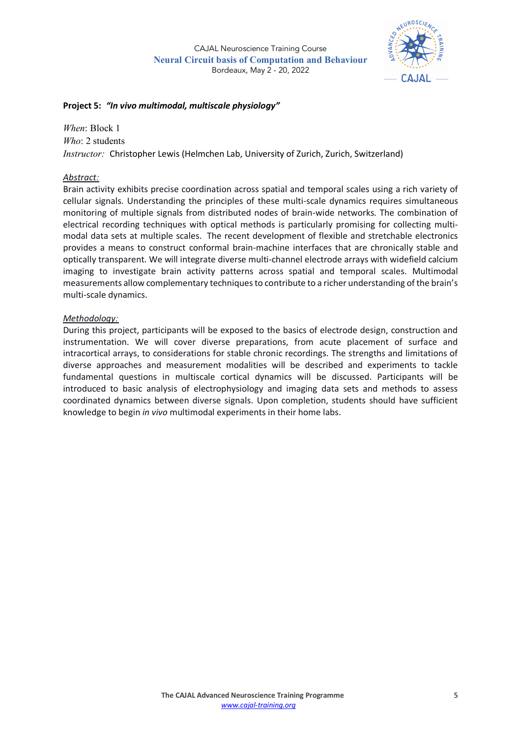

## **Project 5:** *"In vivo multimodal, multiscale physiology"*

*When*: Block 1 *Who*: 2 students *Instructor:* Christopher Lewis (Helmchen Lab, University of Zurich, Zurich, Switzerland)

## *Abstract:*

Brain activity exhibits precise coordination across spatial and temporal scales using a rich variety of cellular signals. Understanding the principles of these multi-scale dynamics requires simultaneous monitoring of multiple signals from distributed nodes of brain-wide networks. The combination of electrical recording techniques with optical methods is particularly promising for collecting multimodal data sets at multiple scales. The recent development of flexible and stretchable electronics provides a means to construct conformal brain-machine interfaces that are chronically stable and optically transparent. We will integrate diverse multi-channel electrode arrays with widefield calcium imaging to investigate brain activity patterns across spatial and temporal scales. Multimodal measurements allow complementary techniques to contribute to a richer understanding of the brain's multi-scale dynamics.

## *Methodology:*

During this project, participants will be exposed to the basics of electrode design, construction and instrumentation. We will cover diverse preparations, from acute placement of surface and intracortical arrays, to considerations for stable chronic recordings. The strengths and limitations of diverse approaches and measurement modalities will be described and experiments to tackle fundamental questions in multiscale cortical dynamics will be discussed. Participants will be introduced to basic analysis of electrophysiology and imaging data sets and methods to assess coordinated dynamics between diverse signals. Upon completion, students should have sufficient knowledge to begin *in vivo* multimodal experiments in their home labs.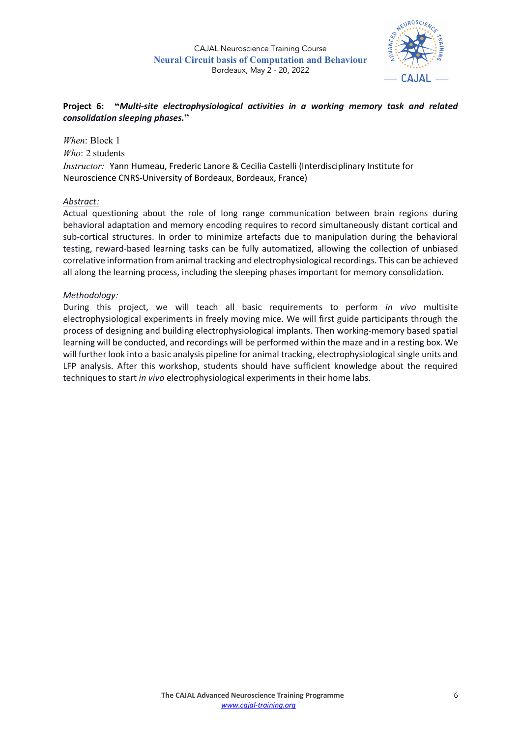

## **Project 6: "***Multi-site electrophysiological activities in a working memory task and related consolidation sleeping phases.***"**

*When*: Block 1 *Who*: 2 students *Instructor:* Yann Humeau, Frederic Lanore & Cecilia Castelli (Interdisciplinary Institute for Neuroscience CNRS-University of Bordeaux, Bordeaux, France)

#### *Abstract:*

Actual questioning about the role of long range communication between brain regions during behavioral adaptation and memory encoding requires to record simultaneously distant cortical and sub-cortical structures. In order to minimize artefacts due to manipulation during the behavioral testing, reward-based learning tasks can be fully automatized, allowing the collection of unbiased correlative information from animal tracking and electrophysiological recordings. This can be achieved all along the learning process, including the sleeping phases important for memory consolidation.

#### *Methodology:*

During this project, we will teach all basic requirements to perform *in vivo* multisite electrophysiological experiments in freely moving mice. We will first guide participants through the process of designing and building electrophysiological implants. Then working-memory based spatial learning will be conducted, and recordings will be performed within the maze and in a resting box. We will further look into a basic analysis pipeline for animal tracking, electrophysiological single units and LFP analysis. After this workshop, students should have sufficient knowledge about the required techniques to start *in vivo* electrophysiological experiments in their home labs.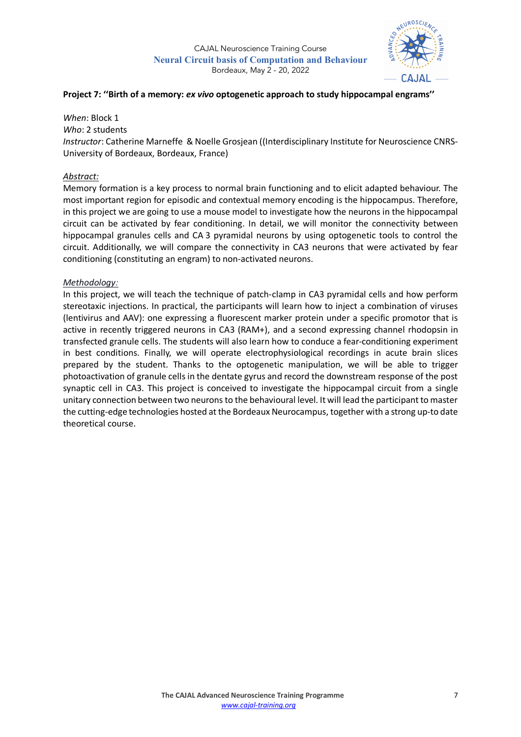

#### **Project 7: ''Birth of a memory:** *ex vivo* **optogenetic approach to study hippocampal engrams''**

*When*: Block 1 *Who*: 2 students *Instructor*: Catherine Marneffe & Noelle Grosjean ((Interdisciplinary Institute for Neuroscience CNRS-University of Bordeaux, Bordeaux, France)

#### *Abstract:*

Memory formation is a key process to normal brain functioning and to elicit adapted behaviour. The most important region for episodic and contextual memory encoding is the hippocampus. Therefore, in this project we are going to use a mouse model to investigate how the neurons in the hippocampal circuit can be activated by fear conditioning. In detail, we will monitor the connectivity between hippocampal granules cells and CA 3 pyramidal neurons by using optogenetic tools to control the circuit. Additionally, we will compare the connectivity in CA3 neurons that were activated by fear conditioning (constituting an engram) to non-activated neurons.

#### *Methodology:*

In this project, we will teach the technique of patch-clamp in CA3 pyramidal cells and how perform stereotaxic injections. In practical, the participants will learn how to inject a combination of viruses (lentivirus and AAV): one expressing a fluorescent marker protein under a specific promotor that is active in recently triggered neurons in CA3 (RAM+), and a second expressing channel rhodopsin in transfected granule cells. The students will also learn how to conduce a fear-conditioning experiment in best conditions. Finally, we will operate electrophysiological recordings in acute brain slices prepared by the student. Thanks to the optogenetic manipulation, we will be able to trigger photoactivation of granule cells in the dentate gyrus and record the downstream response of the post synaptic cell in CA3. This project is conceived to investigate the hippocampal circuit from a single unitary connection between two neurons to the behavioural level. It will lead the participant to master the cutting-edge technologies hosted at the Bordeaux Neurocampus, together with a strong up-to date theoretical course.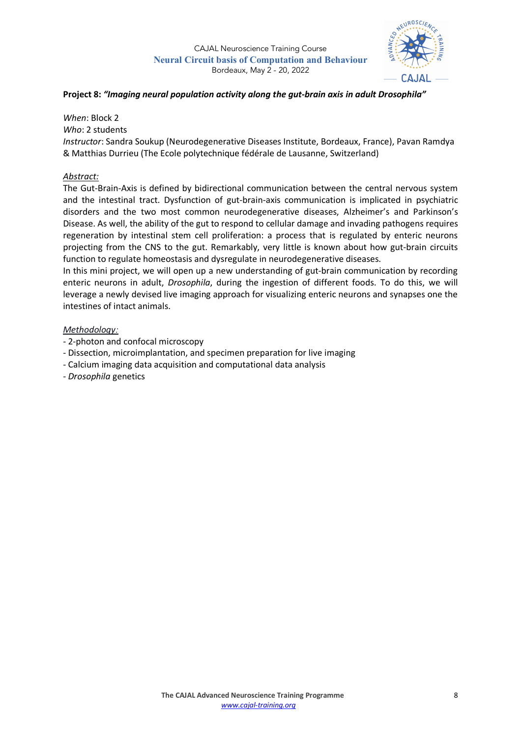

## **Project 8:** *"Imaging neural population activity along the gut-brain axis in adult Drosophila"*

*When*: Block 2

*Who*: 2 students

*Instructor*: Sandra Soukup (Neurodegenerative Diseases Institute, Bordeaux, France), Pavan Ramdya & Matthias Durrieu (The Ecole polytechnique fédérale de Lausanne, Switzerland)

#### *Abstract:*

The Gut-Brain-Axis is defined by bidirectional communication between the central nervous system and the intestinal tract. Dysfunction of gut-brain-axis communication is implicated in psychiatric disorders and the two most common neurodegenerative diseases, Alzheimer's and Parkinson's Disease. As well, the ability of the gut to respond to cellular damage and invading pathogens requires regeneration by intestinal stem cell proliferation: a process that is regulated by enteric neurons projecting from the CNS to the gut. Remarkably, very little is known about how gut-brain circuits function to regulate homeostasis and dysregulate in neurodegenerative diseases.

In this mini project, we will open up a new understanding of gut-brain communication by recording enteric neurons in adult, *Drosophila*, during the ingestion of different foods. To do this, we will leverage a newly devised live imaging approach for visualizing enteric neurons and synapses one the intestines of intact animals.

#### *Methodology:*

- 2-photon and confocal microscopy
- Dissection, microimplantation, and specimen preparation for live imaging
- Calcium imaging data acquisition and computational data analysis
- *Drosophila* genetics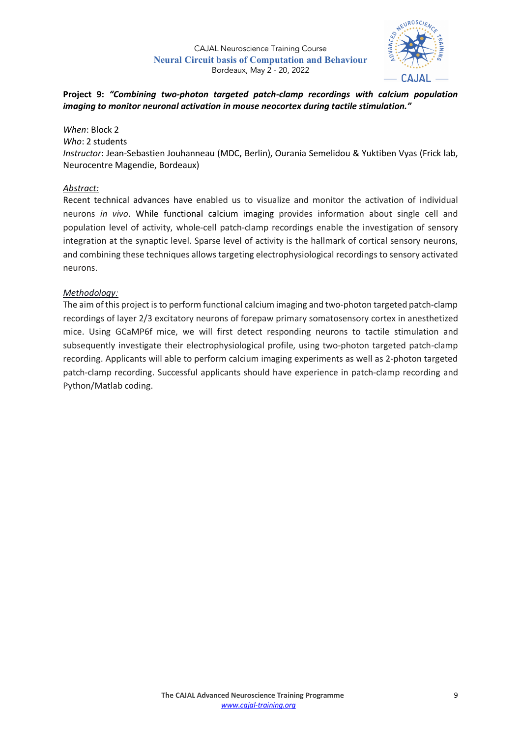

# **Project 9:** *"Combining two-photon targeted patch-clamp recordings with calcium population imaging to monitor neuronal activation in mouse neocortex during tactile stimulation."*

*When*: Block 2 *Who*: 2 students *Instructor*: Jean-Sebastien Jouhanneau (MDC, Berlin), Ourania Semelidou & Yuktiben Vyas (Frick lab, Neurocentre Magendie, Bordeaux)

## *Abstract:*

Recent technical advances have enabled us to visualize and monitor the activation of individual neurons *in vivo*. While functional calcium imaging provides information about single cell and population level of activity, whole-cell patch-clamp recordings enable the investigation of sensory integration at the synaptic level. Sparse level of activity is the hallmark of cortical sensory neurons, and combining these techniques allows targeting electrophysiological recordings to sensory activated neurons.

## *Methodology:*

The aim of this project is to perform functional calcium imaging and two-photon targeted patch-clamp recordings of layer 2/3 excitatory neurons of forepaw primary somatosensory cortex in anesthetized mice. Using GCaMP6f mice, we will first detect responding neurons to tactile stimulation and subsequently investigate their electrophysiological profile, using two-photon targeted patch-clamp recording. Applicants will able to perform calcium imaging experiments as well as 2-photon targeted patch-clamp recording. Successful applicants should have experience in patch-clamp recording and Python/Matlab coding.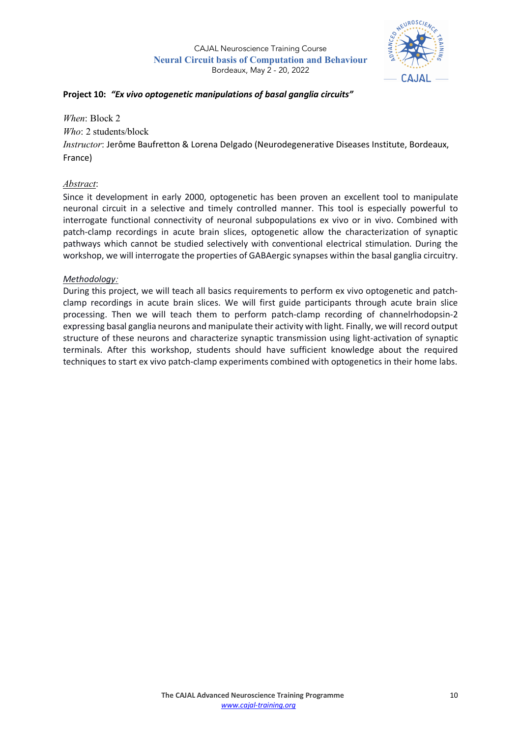

### **Project 10:** *"Ex vivo optogenetic manipulations of basal ganglia circuits"*

*When*: Block 2 *Who*: 2 students/block *Instructor*: Jerôme Baufretton & Lorena Delgado (Neurodegenerative Diseases Institute, Bordeaux, France)

## *Abstract*:

Since it development in early 2000, optogenetic has been proven an excellent tool to manipulate neuronal circuit in a selective and timely controlled manner. This tool is especially powerful to interrogate functional connectivity of neuronal subpopulations ex vivo or in vivo. Combined with patch-clamp recordings in acute brain slices, optogenetic allow the characterization of synaptic pathways which cannot be studied selectively with conventional electrical stimulation. During the workshop, we will interrogate the properties of GABAergic synapses within the basal ganglia circuitry.

## *Methodology:*

During this project, we will teach all basics requirements to perform ex vivo optogenetic and patchclamp recordings in acute brain slices. We will first guide participants through acute brain slice processing. Then we will teach them to perform patch-clamp recording of channelrhodopsin-2 expressing basal ganglia neurons and manipulate their activity with light. Finally, we will record output structure of these neurons and characterize synaptic transmission using light-activation of synaptic terminals. After this workshop, students should have sufficient knowledge about the required techniques to start ex vivo patch-clamp experiments combined with optogenetics in their home labs.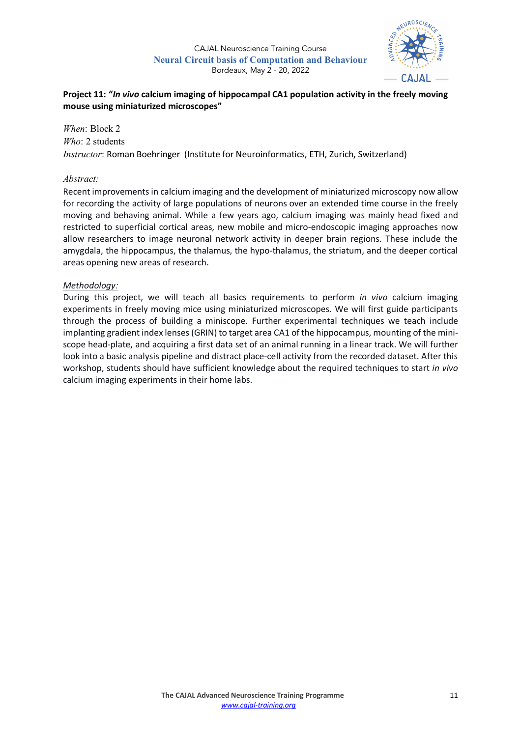

# **Project 11: "***In vivo* **calcium imaging of hippocampal CA1 population activity in the freely moving mouse using miniaturized microscopes"**

*When*: Block 2 *Who*: 2 students *Instructor*: Roman Boehringer (Institute for Neuroinformatics, ETH, Zurich, Switzerland)

## *Abstract:*

Recent improvements in calcium imaging and the development of miniaturized microscopy now allow for recording the activity of large populations of neurons over an extended time course in the freely moving and behaving animal. While a few years ago, calcium imaging was mainly head fixed and restricted to superficial cortical areas, new mobile and micro-endoscopic imaging approaches now allow researchers to image neuronal network activity in deeper brain regions. These include the amygdala, the hippocampus, the thalamus, the hypo-thalamus, the striatum, and the deeper cortical areas opening new areas of research.

#### *Methodology:*

During this project, we will teach all basics requirements to perform *in vivo* calcium imaging experiments in freely moving mice using miniaturized microscopes. We will first guide participants through the process of building a miniscope. Further experimental techniques we teach include implanting gradient index lenses (GRIN) to target area CA1 of the hippocampus, mounting of the miniscope head-plate, and acquiring a first data set of an animal running in a linear track. We will further look into a basic analysis pipeline and distract place-cell activity from the recorded dataset. After this workshop, students should have sufficient knowledge about the required techniques to start *in vivo* calcium imaging experiments in their home labs.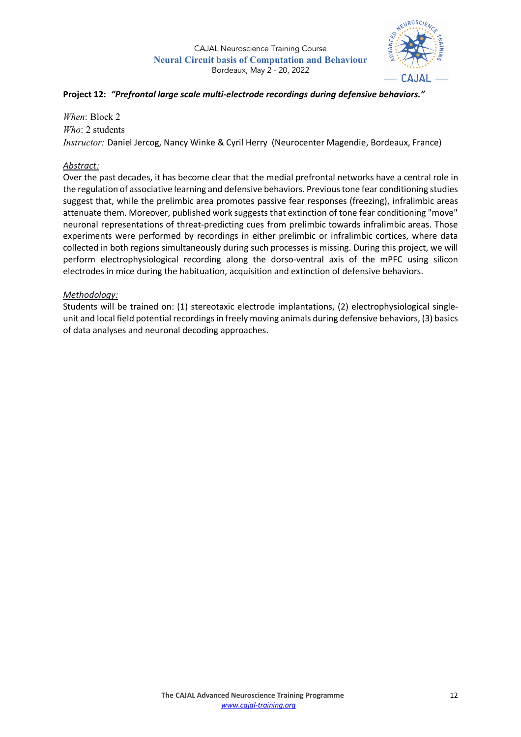

## **Project 12:** *"Prefrontal large scale multi-electrode recordings during defensive behaviors."*

*When*: Block 2 *Who*: 2 students

*Instructor:* Daniel Jercog, Nancy Winke & Cyril Herry (Neurocenter Magendie, Bordeaux, France)

## *Abstract:*

Over the past decades, it has become clear that the medial prefrontal networks have a central role in the regulation of associative learning and defensive behaviors. Previous tone fear conditioning studies suggest that, while the prelimbic area promotes passive fear responses (freezing), infralimbic areas attenuate them. Moreover, published work suggests that extinction of tone fear conditioning "move" neuronal representations of threat-predicting cues from prelimbic towards infralimbic areas. Those experiments were performed by recordings in either prelimbic or infralimbic cortices, where data collected in both regions simultaneously during such processes is missing. During this project, we will perform electrophysiological recording along the dorso-ventral axis of the mPFC using silicon electrodes in mice during the habituation, acquisition and extinction of defensive behaviors.

## *Methodology:*

Students will be trained on: (1) stereotaxic electrode implantations, (2) electrophysiological singleunit and local field potential recordings in freely moving animals during defensive behaviors, (3) basics of data analyses and neuronal decoding approaches.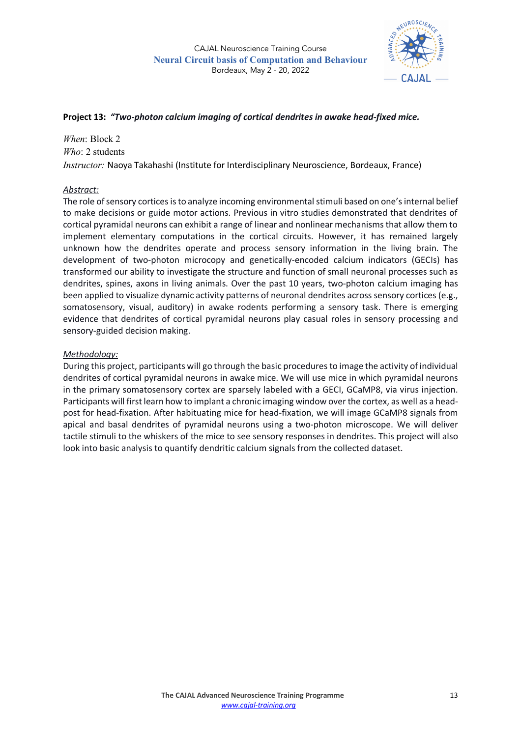

## **Project 13:** *"Two-photon calcium imaging of cortical dendrites in awake head-fixed mice.*

*When*: Block 2 *Who*: 2 students *Instructor:* Naoya Takahashi (Institute for Interdisciplinary Neuroscience, Bordeaux, France)

## *Abstract:*

The role of sensory cortices is to analyze incoming environmental stimuli based on one's internal belief to make decisions or guide motor actions. Previous in vitro studies demonstrated that dendrites of cortical pyramidal neurons can exhibit a range of linear and nonlinear mechanisms that allow them to implement elementary computations in the cortical circuits. However, it has remained largely unknown how the dendrites operate and process sensory information in the living brain. The development of two-photon microcopy and genetically-encoded calcium indicators (GECIs) has transformed our ability to investigate the structure and function of small neuronal processes such as dendrites, spines, axons in living animals. Over the past 10 years, two-photon calcium imaging has been applied to visualize dynamic activity patterns of neuronal dendrites across sensory cortices (e.g., somatosensory, visual, auditory) in awake rodents performing a sensory task. There is emerging evidence that dendrites of cortical pyramidal neurons play casual roles in sensory processing and sensory-guided decision making.

## *Methodology:*

During this project, participants will go through the basic procedures to image the activity of individual dendrites of cortical pyramidal neurons in awake mice. We will use mice in which pyramidal neurons in the primary somatosensory cortex are sparsely labeled with a GECI, GCaMP8, via virus injection. Participants will first learn how to implant a chronic imaging window over the cortex, as well as a headpost for head-fixation. After habituating mice for head-fixation, we will image GCaMP8 signals from apical and basal dendrites of pyramidal neurons using a two-photon microscope. We will deliver tactile stimuli to the whiskers of the mice to see sensory responses in dendrites. This project will also look into basic analysis to quantify dendritic calcium signals from the collected dataset.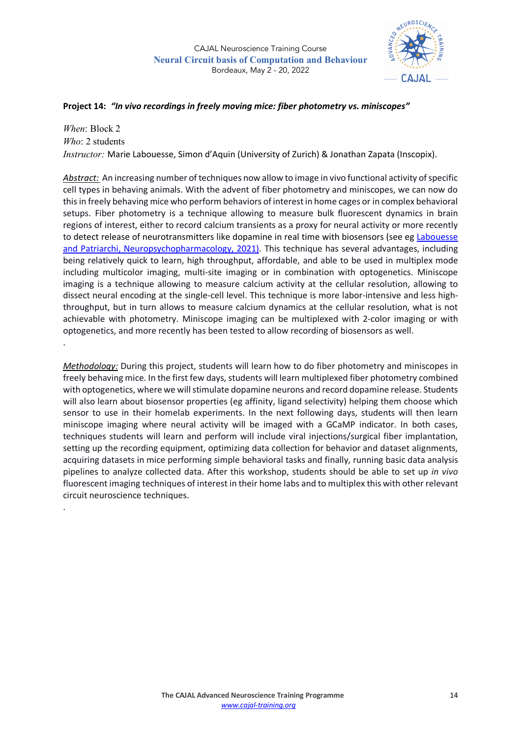

#### **Project 14:** *"In vivo recordings in freely moving mice: fiber photometry vs. miniscopes"*

*When*: Block 2 *Who*: 2 students *Instructor:* Marie Labouesse, Simon d'Aquin (University of Zurich) & Jonathan Zapata (Inscopix).

*Abstract:* An increasing number of techniques now allow to image in vivo functional activity of specific cell types in behaving animals. With the advent of fiber photometry and miniscopes, we can now do this in freely behaving mice who perform behaviors of interest in home cages or in complex behavioral setups. Fiber photometry is a technique allowing to measure bulk fluorescent dynamics in brain regions of interest, either to record calcium transients as a proxy for neural activity or more recently to detect release of neurotransmitters like dopamine in real time with biosensors (see eg Labouesse and Patriarchi, Neuropsychopharmacology, 2021). This technique has several advantages, including being relatively quick to learn, high throughput, affordable, and able to be used in multiplex mode including multicolor imaging, multi-site imaging or in combination with optogenetics. Miniscope imaging is a technique allowing to measure calcium activity at the cellular resolution, allowing to dissect neural encoding at the single-cell level. This technique is more labor-intensive and less highthroughput, but in turn allows to measure calcium dynamics at the cellular resolution, what is not achievable with photometry. Miniscope imaging can be multiplexed with 2-color imaging or with optogenetics, and more recently has been tested to allow recording of biosensors as well.

*Methodology:* During this project, students will learn how to do fiber photometry and miniscopes in freely behaving mice. In the first few days, students will learn multiplexed fiber photometry combined with optogenetics, where we will stimulate dopamine neurons and record dopamine release. Students will also learn about biosensor properties (eg affinity, ligand selectivity) helping them choose which sensor to use in their homelab experiments. In the next following days, students will then learn miniscope imaging where neural activity will be imaged with a GCaMP indicator. In both cases, techniques students will learn and perform will include viral injections/surgical fiber implantation, setting up the recording equipment, optimizing data collection for behavior and dataset alignments, acquiring datasets in mice performing simple behavioral tasks and finally, running basic data analysis pipelines to analyze collected data. After this workshop, students should be able to set up *in vivo* fluorescent imaging techniques of interest in their home labs and to multiplex this with other relevant circuit neuroscience techniques.

.

.